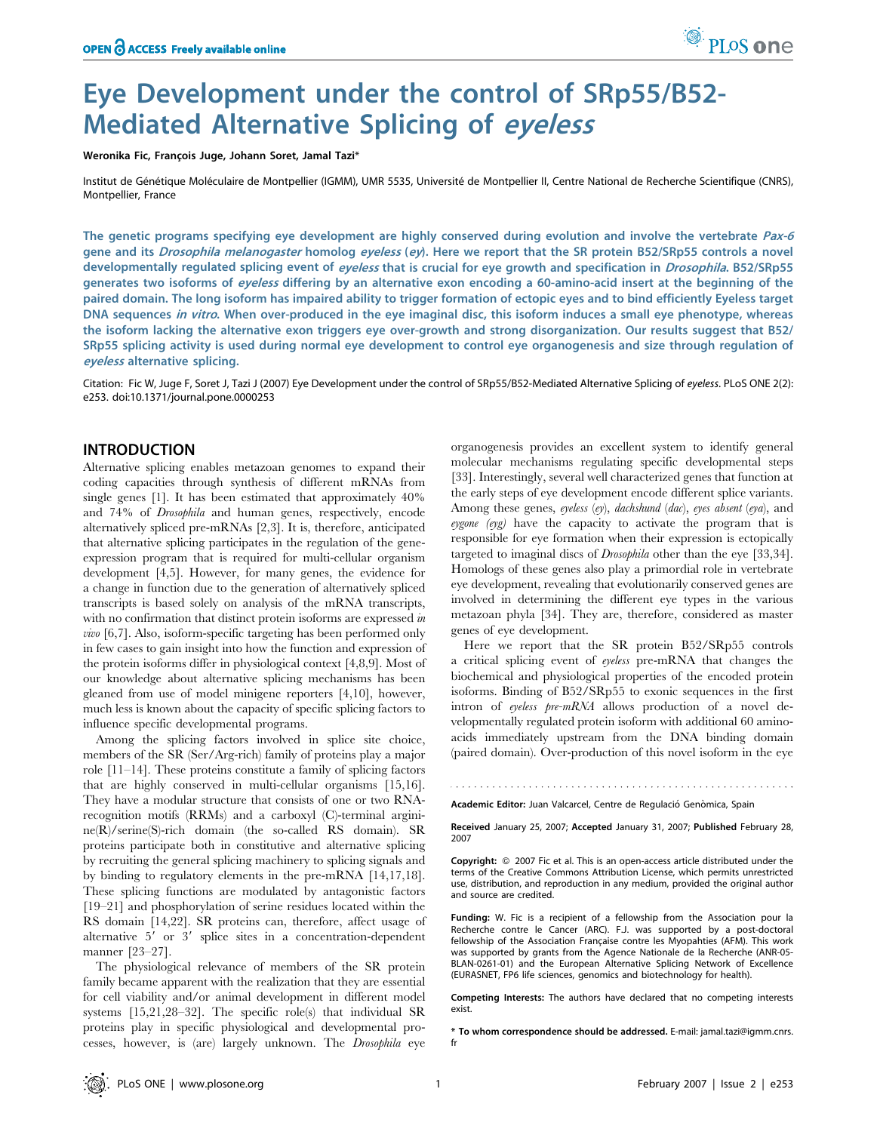# Eye Development under the control of SRp55/B52- Mediated Alternative Splicing of eyeless

Weronika Fic, François Juge, Johann Soret, Jamal Tazi\*

Institut de Génétique Moléculaire de Montpellier (IGMM), UMR 5535, Université de Montpellier II, Centre National de Recherche Scientifique (CNRS), Montpellier, France

The genetic programs specifying eye development are highly conserved during evolution and involve the vertebrate Pax-6 gene and its Drosophila melanogaster homolog eyeless (ey). Here we report that the SR protein B52/SRp55 controls a novel developmentally regulated splicing event of eyeless that is crucial for eye growth and specification in *Drosophila*. B52/SRp55 generates two isoforms of eyeless differing by an alternative exon encoding a 60-amino-acid insert at the beginning of the paired domain. The long isoform has impaired ability to trigger formation of ectopic eyes and to bind efficiently Eyeless target DNA sequences in vitro. When over-produced in the eye imaginal disc, this isoform induces a small eye phenotype, whereas the isoform lacking the alternative exon triggers eye over-growth and strong disorganization. Our results suggest that B52/ SRp55 splicing activity is used during normal eye development to control eye organogenesis and size through regulation of eyeless alternative splicing.

Citation: Fic W, Juge F, Soret J, Tazi J (2007) Eye Development under the control of SRp55/B52-Mediated Alternative Splicing of eyeless. PLoS ONE 2(2): e253. doi:10.1371/journal.pone.0000253

## INTRODUCTION

Alternative splicing enables metazoan genomes to expand their coding capacities through synthesis of different mRNAs from single genes [1]. It has been estimated that approximately 40% and 74% of Drosophila and human genes, respectively, encode alternatively spliced pre-mRNAs [2,3]. It is, therefore, anticipated that alternative splicing participates in the regulation of the geneexpression program that is required for multi-cellular organism development [4,5]. However, for many genes, the evidence for a change in function due to the generation of alternatively spliced transcripts is based solely on analysis of the mRNA transcripts, with no confirmation that distinct protein isoforms are expressed in vivo [6,7]. Also, isoform-specific targeting has been performed only in few cases to gain insight into how the function and expression of the protein isoforms differ in physiological context [4,8,9]. Most of our knowledge about alternative splicing mechanisms has been gleaned from use of model minigene reporters [4,10], however, much less is known about the capacity of specific splicing factors to influence specific developmental programs.

Among the splicing factors involved in splice site choice, members of the SR (Ser/Arg-rich) family of proteins play a major role [11–14]. These proteins constitute a family of splicing factors that are highly conserved in multi-cellular organisms [15,16]. They have a modular structure that consists of one or two RNArecognition motifs (RRMs) and a carboxyl (C)-terminal arginine(R)/serine(S)-rich domain (the so-called RS domain). SR proteins participate both in constitutive and alternative splicing by recruiting the general splicing machinery to splicing signals and by binding to regulatory elements in the pre-mRNA [14,17,18]. These splicing functions are modulated by antagonistic factors [19–21] and phosphorylation of serine residues located within the RS domain [14,22]. SR proteins can, therefore, affect usage of alternative  $5'$  or  $3'$  splice sites in a concentration-dependent manner [23–27].

The physiological relevance of members of the SR protein family became apparent with the realization that they are essential for cell viability and/or animal development in different model systems [15,21,28–32]. The specific role(s) that individual SR proteins play in specific physiological and developmental processes, however, is (are) largely unknown. The Drosophila eye

organogenesis provides an excellent system to identify general molecular mechanisms regulating specific developmental steps [33]. Interestingly, several well characterized genes that function at the early steps of eye development encode different splice variants. Among these genes, eyeless (ey), dachshund (dac), eyes absent (eya), and eygone (eyg) have the capacity to activate the program that is responsible for eye formation when their expression is ectopically targeted to imaginal discs of Drosophila other than the eye [33,34]. Homologs of these genes also play a primordial role in vertebrate eye development, revealing that evolutionarily conserved genes are involved in determining the different eye types in the various metazoan phyla [34]. They are, therefore, considered as master genes of eye development.

PLoS one

Here we report that the SR protein B52/SRp55 controls a critical splicing event of eyeless pre-mRNA that changes the biochemical and physiological properties of the encoded protein isoforms. Binding of B52/SRp55 to exonic sequences in the first intron of eyeless pre-mRNA allows production of a novel developmentally regulated protein isoform with additional 60 aminoacids immediately upstream from the DNA binding domain (paired domain). Over-production of this novel isoform in the eye

Academic Editor: Juan Valcarcel, Centre de Regulació Genòmica, Spain

Received January 25, 2007; Accepted January 31, 2007; Published February 28, 2007

Copyright:  $\odot$  2007 Fic et al. This is an open-access article distributed under the terms of the Creative Commons Attribution License, which permits unrestricted use, distribution, and reproduction in any medium, provided the original author and source are credited.

Funding: W. Fic is a recipient of a fellowship from the Association pour la Recherche contre le Cancer (ARC). F.J. was supported by a post-doctoral fellowship of the Association Française contre les Myopahties (AFM). This work was supported by grants from the Agence Nationale de la Recherche (ANR-05- BLAN-0261-01) and the European Alternative Splicing Network of Excellence (EURASNET, FP6 life sciences, genomics and biotechnology for health).

Competing Interests: The authors have declared that no competing interests exist.

\* To whom correspondence should be addressed. E-mail: jamal.tazi@igmm.cnrs. fr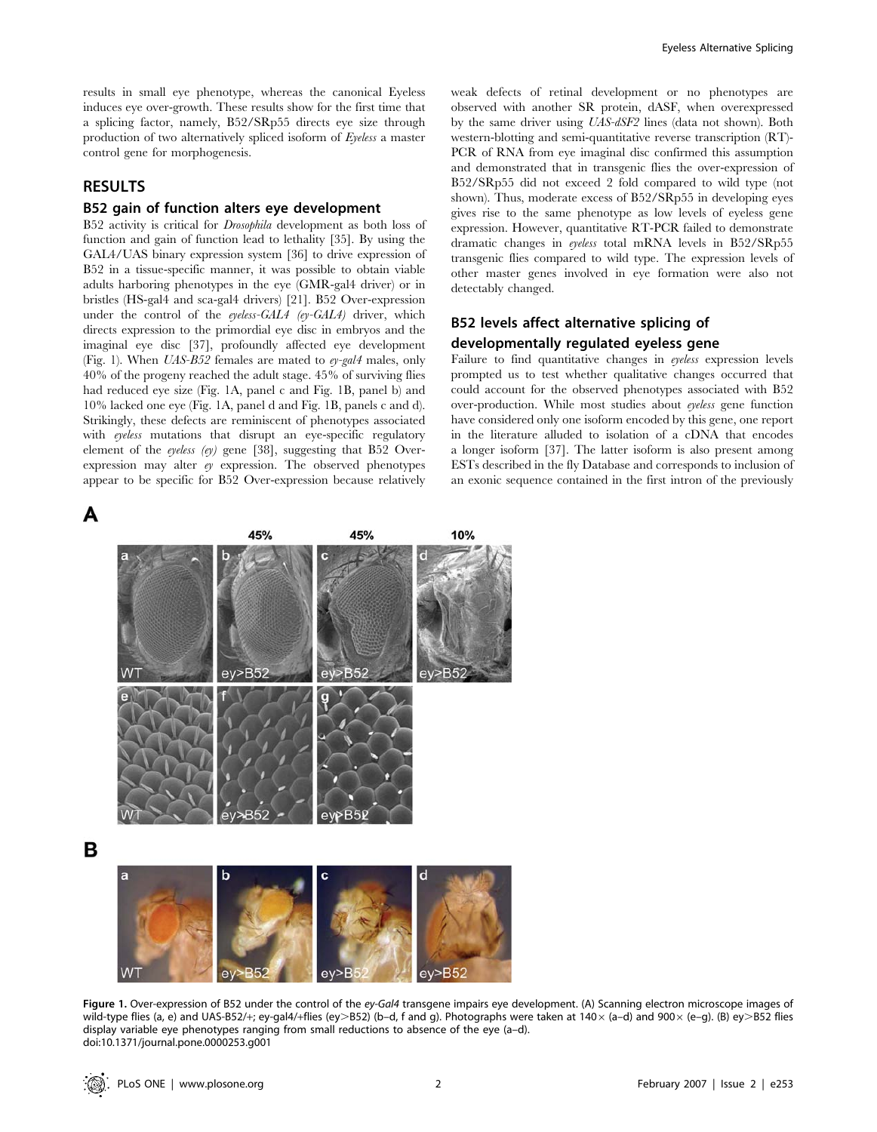results in small eye phenotype, whereas the canonical Eyeless induces eye over-growth. These results show for the first time that a splicing factor, namely, B52/SRp55 directs eye size through production of two alternatively spliced isoform of Eyeless a master control gene for morphogenesis.

## RESULTS

#### B52 gain of function alters eye development

B52 activity is critical for Drosophila development as both loss of function and gain of function lead to lethality [35]. By using the GAL4/UAS binary expression system [36] to drive expression of B52 in a tissue-specific manner, it was possible to obtain viable adults harboring phenotypes in the eye (GMR-gal4 driver) or in bristles (HS-gal4 and sca-gal4 drivers) [21]. B52 Over-expression under the control of the eyeless-GAL4 (ey-GAL4) driver, which directs expression to the primordial eye disc in embryos and the imaginal eye disc [37], profoundly affected eye development (Fig. 1). When  $UAS-B52$  females are mated to  $e\nu$ -gal4 males, only 40% of the progeny reached the adult stage. 45% of surviving flies had reduced eye size (Fig. 1A, panel c and Fig. 1B, panel b) and 10% lacked one eye (Fig. 1A, panel d and Fig. 1B, panels c and d). Strikingly, these defects are reminiscent of phenotypes associated with eyeless mutations that disrupt an eye-specific regulatory element of the eyeless (ey) gene [38], suggesting that B52 Overexpression may alter ey expression. The observed phenotypes appear to be specific for B52 Over-expression because relatively



weak defects of retinal development or no phenotypes are observed with another SR protein, dASF, when overexpressed by the same driver using UAS-dSF2 lines (data not shown). Both western-blotting and semi-quantitative reverse transcription (RT)- PCR of RNA from eye imaginal disc confirmed this assumption and demonstrated that in transgenic flies the over-expression of B52/SRp55 did not exceed 2 fold compared to wild type (not shown). Thus, moderate excess of B52/SRp55 in developing eyes gives rise to the same phenotype as low levels of eyeless gene expression. However, quantitative RT-PCR failed to demonstrate dramatic changes in eyeless total mRNA levels in B52/SRp55 transgenic flies compared to wild type. The expression levels of other master genes involved in eye formation were also not detectably changed.

# B52 levels affect alternative splicing of developmentally regulated eyeless gene

Failure to find quantitative changes in eyeless expression levels prompted us to test whether qualitative changes occurred that could account for the observed phenotypes associated with B52 over-production. While most studies about eyeless gene function have considered only one isoform encoded by this gene, one report in the literature alluded to isolation of a cDNA that encodes a longer isoform [37]. The latter isoform is also present among ESTs described in the fly Database and corresponds to inclusion of an exonic sequence contained in the first intron of the previously



Figure 1. Over-expression of B52 under the control of the ey-Gal4 transgene impairs eye development. (A) Scanning electron microscope images of wild-type flies (a, e) and UAS-B52/+; ey-gal4/+flies (ey>B52) (b–d, f and g). Photographs were taken at 140 $\times$  (a–d) and 900 $\times$  (e–g). (B) ey>B52 flies display variable eye phenotypes ranging from small reductions to absence of the eye (a–d). doi:10.1371/journal.pone.0000253.g001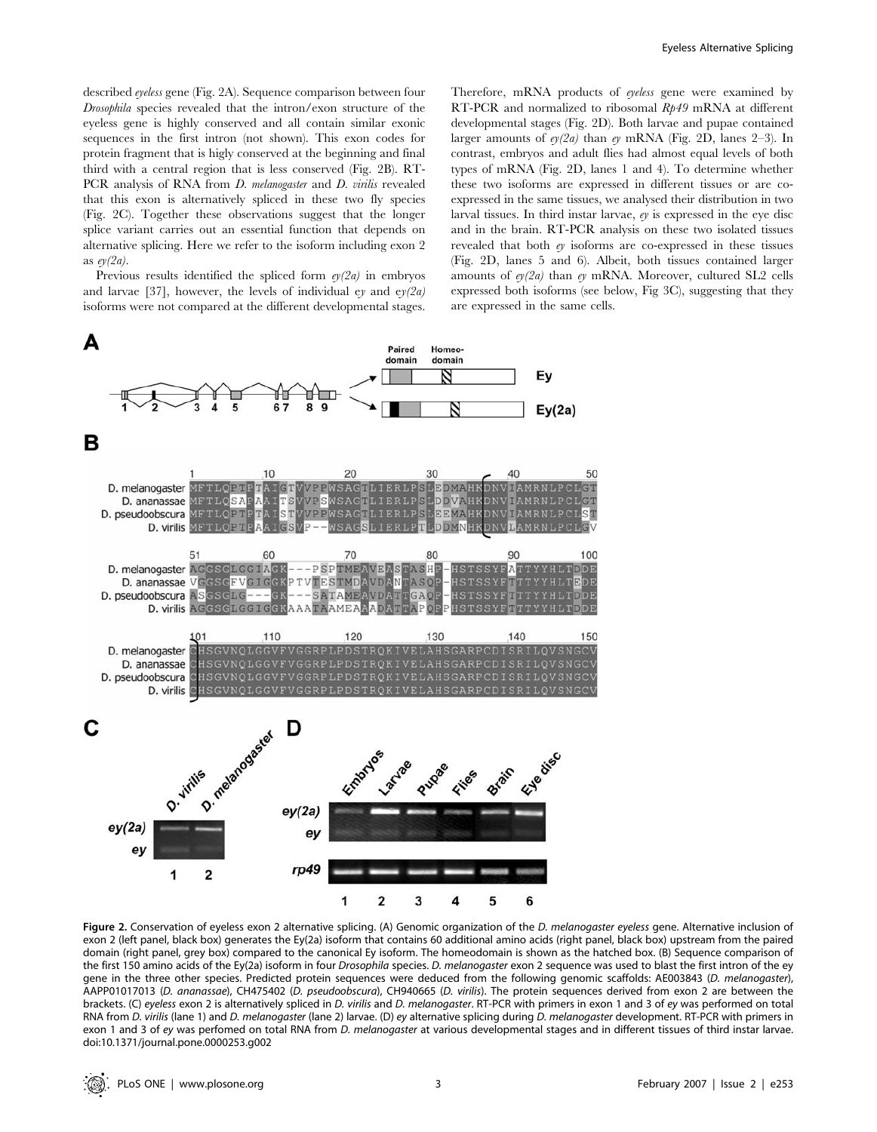described eyeless gene (Fig. 2A). Sequence comparison between four Drosophila species revealed that the intron/exon structure of the eyeless gene is highly conserved and all contain similar exonic sequences in the first intron (not shown). This exon codes for protein fragment that is higly conserved at the beginning and final third with a central region that is less conserved (Fig. 2B). RT-PCR analysis of RNA from *D. melanogaster* and *D. virilis* revealed that this exon is alternatively spliced in these two fly species (Fig. 2C). Together these observations suggest that the longer splice variant carries out an essential function that depends on alternative splicing. Here we refer to the isoform including exon 2 as  $ev(2a)$ .

Previous results identified the spliced form  $e/(2a)$  in embryos and larvae [37], however, the levels of individual ey and  $e\gamma(2a)$ isoforms were not compared at the different developmental stages.

Therefore, mRNA products of eyeless gene were examined by RT-PCR and normalized to ribosomal Rp49 mRNA at different developmental stages (Fig. 2D). Both larvae and pupae contained larger amounts of  $e/(2a)$  than  $e/(RN)$  (Fig. 2D, lanes 2–3). In contrast, embryos and adult flies had almost equal levels of both types of mRNA (Fig. 2D, lanes 1 and 4). To determine whether these two isoforms are expressed in different tissues or are coexpressed in the same tissues, we analysed their distribution in two larval tissues. In third instar larvae,  $e\gamma$  is expressed in the eye disc and in the brain. RT-PCR analysis on these two isolated tissues revealed that both ey isoforms are co-expressed in these tissues (Fig. 2D, lanes 5 and 6). Albeit, both tissues contained larger amounts of  $e_1/2a$  than  $e_1$  mRNA. Moreover, cultured SL2 cells expressed both isoforms (see below, Fig 3C), suggesting that they are expressed in the same cells.



Figure 2. Conservation of eyeless exon 2 alternative splicing. (A) Genomic organization of the D. melanogaster eyeless gene. Alternative inclusion of exon 2 (left panel, black box) generates the Ey(2a) isoform that contains 60 additional amino acids (right panel, black box) upstream from the paired domain (right panel, grey box) compared to the canonical Ey isoform. The homeodomain is shown as the hatched box. (B) Sequence comparison of the first 150 amino acids of the Ey(2a) isoform in four Drosophila species. D. melanogaster exon 2 sequence was used to blast the first intron of the ey gene in the three other species. Predicted protein sequences were deduced from the following genomic scaffolds: AE003843 (D. melanogaster), AAPP01017013 (D. ananassae), CH475402 (D. pseudoobscura), CH940665 (D. virilis). The protein sequences derived from exon 2 are between the brackets. (C) eyeless exon 2 is alternatively spliced in D. virilis and D. melanogaster. RT-PCR with primers in exon 1 and 3 of ey was performed on total RNA from D. virilis (lane 1) and D. melanogaster (lane 2) larvae. (D) ey alternative splicing during D. melanogaster development. RT-PCR with primers in exon 1 and 3 of ey was perfomed on total RNA from D. melanogaster at various developmental stages and in different tissues of third instar larvae. doi:10.1371/journal.pone.0000253.g002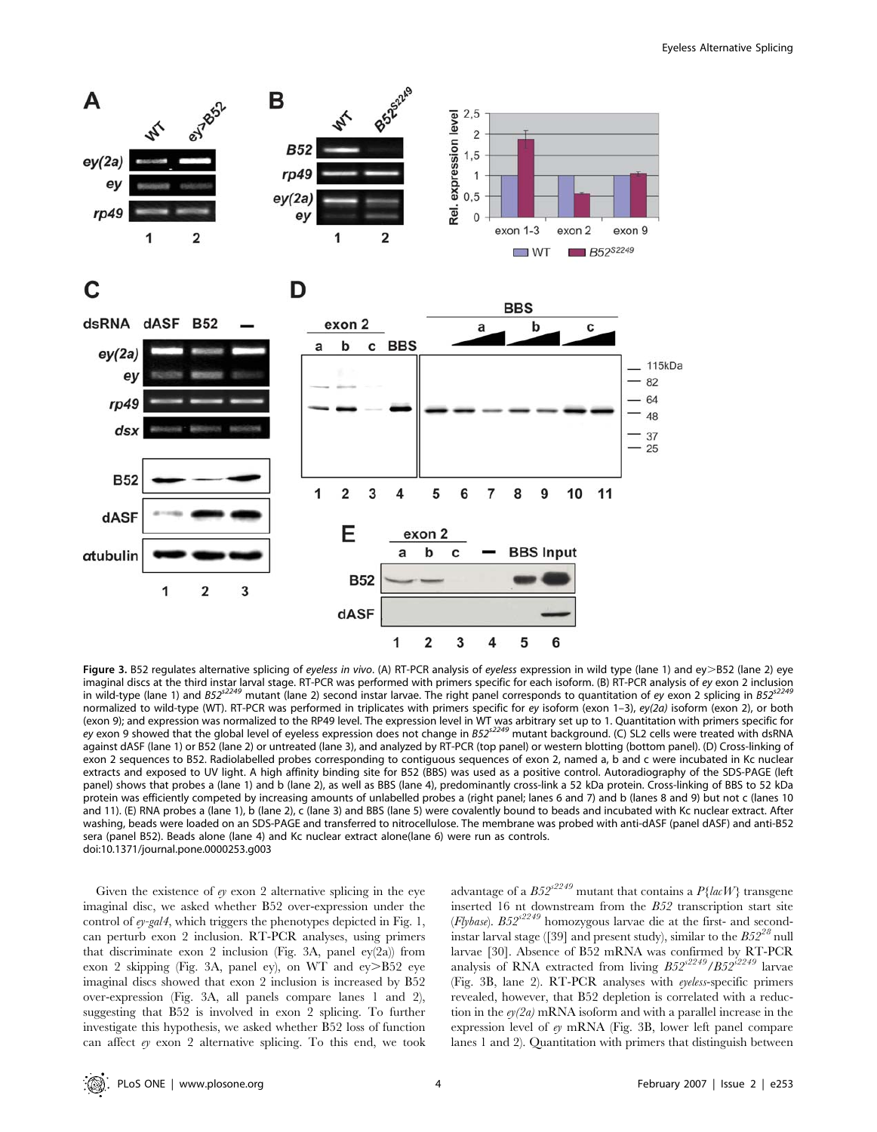

Figure 3. B52 regulates alternative splicing of eyeless in vivo. (A) RT-PCR analysis of eyeless expression in wild type (lane 1) and ey>B52 (lane 2) eye imaginal discs at the third instar larval stage. RT-PCR was performed with primers specific for each isoform. (B) RT-PCR analysis of ey exon 2 inclusion in wild-type (lane 1) and  $B52^{s2249}$  mutant (lane 2) second instar larvae. The right panel corresponds to quantitation of ey exon 2 splicing in  $B52^{s2}$ normalized to wild-type (WT). RT-PCR was performed in triplicates with primers specific for ey isoform (exon 1–3), ey(2a) isoform (exon 2), or both (exon 9); and expression was normalized to the RP49 level. The expression level in WT was arbitrary set up to 1. Quantitation with primers specific for ey exon 9 showed that the global level of eyeless expression does not change in B52<sup>52249</sup> mutant background. (C) SL2 cells were treated with dsRNA against dASF (lane 1) or B52 (lane 2) or untreated (lane 3), and analyzed by RT-PCR (top panel) or western blotting (bottom panel). (D) Cross-linking of exon 2 sequences to B52. Radiolabelled probes corresponding to contiguous sequences of exon 2, named a, b and c were incubated in Kc nuclear extracts and exposed to UV light. A high affinity binding site for B52 (BBS) was used as a positive control. Autoradiography of the SDS-PAGE (left panel) shows that probes a (lane 1) and b (lane 2), as well as BBS (lane 4), predominantly cross-link a 52 kDa protein. Cross-linking of BBS to 52 kDa protein was efficiently competed by increasing amounts of unlabelled probes a (right panel; lanes 6 and 7) and b (lanes 8 and 9) but not c (lanes 10 and 11). (E) RNA probes a (lane 1), b (lane 2), c (lane 3) and BBS (lane 5) were covalently bound to beads and incubated with Kc nuclear extract. After washing, beads were loaded on an SDS-PAGE and transferred to nitrocellulose. The membrane was probed with anti-dASF (panel dASF) and anti-B52 sera (panel B52). Beads alone (lane 4) and Kc nuclear extract alone(lane 6) were run as controls. doi:10.1371/journal.pone.0000253.g003

Given the existence of  $e$  exon 2 alternative splicing in the eye imaginal disc, we asked whether B52 over-expression under the control of ey-gal4, which triggers the phenotypes depicted in Fig. 1, can perturb exon 2 inclusion. RT-PCR analyses, using primers that discriminate exon 2 inclusion (Fig. 3A, panel ey(2a)) from exon 2 skipping (Fig. 3A, panel ey), on WT and ey>B52 eye imaginal discs showed that exon 2 inclusion is increased by B52 over-expression (Fig. 3A, all panels compare lanes 1 and 2), suggesting that B52 is involved in exon 2 splicing. To further investigate this hypothesis, we asked whether B52 loss of function can affect ey exon 2 alternative splicing. To this end, we took

advantage of a  $B52^{s2249}$  mutant that contains a  $P\{lacW\}$  transgene inserted 16 nt downstream from the B52 transcription start site (Flybase).  $B52^{s2249}$  homozygous larvae die at the first- and secondinstar larval stage ([39] and present study), similar to the  $B52^{28}$  null larvae [30]. Absence of B52 mRNA was confirmed by RT-PCR analysis of RNA extracted from living  $B52^{s2249}/B52^{s2249}$  larvae (Fig. 3B, lane 2). RT-PCR analyses with eyeless-specific primers revealed, however, that B52 depletion is correlated with a reduction in the  $e/(2a)$  mRNA isoform and with a parallel increase in the expression level of ey mRNA (Fig. 3B, lower left panel compare lanes 1 and 2). Quantitation with primers that distinguish between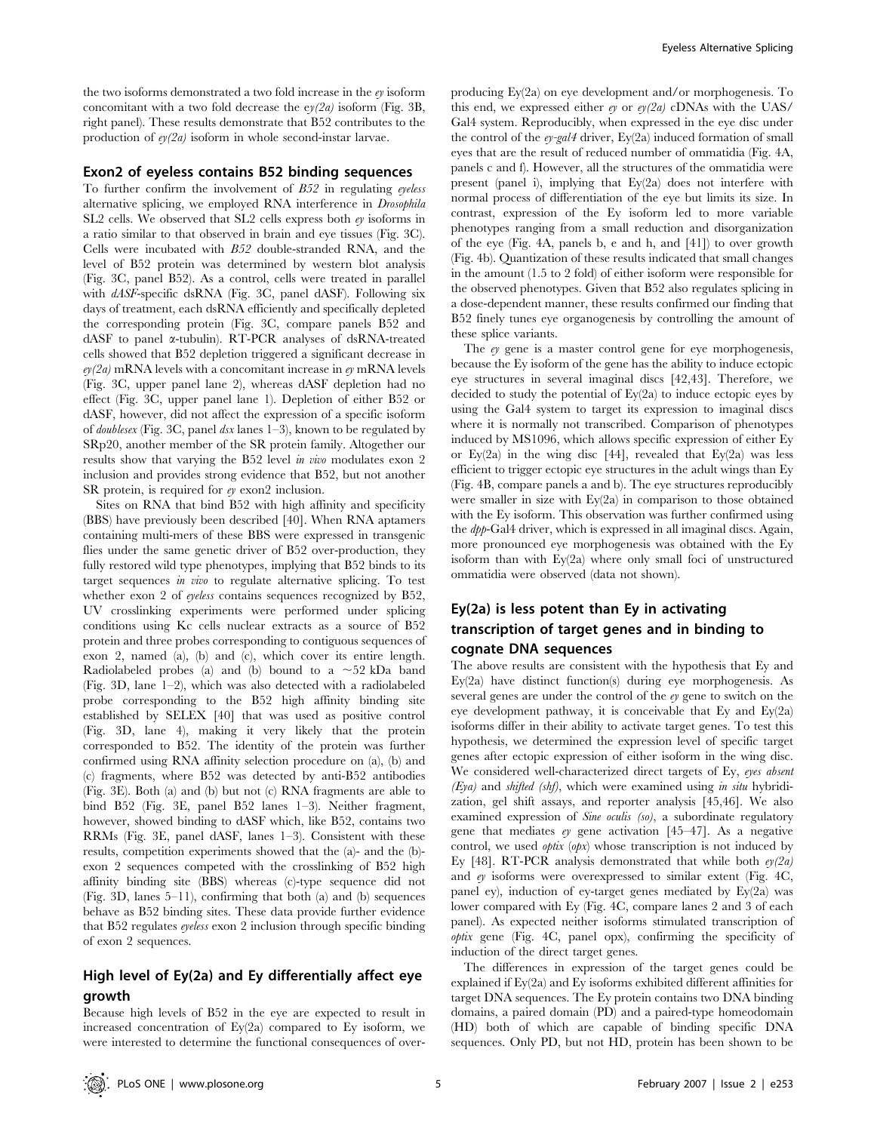the two isoforms demonstrated a two fold increase in the ey isoform concomitant with a two fold decrease the  $e\gamma/2a$  isoform (Fig. 3B, right panel). These results demonstrate that B52 contributes to the production of  $e/(2a)$  isoform in whole second-instar larvae.

#### Exon2 of eyeless contains B52 binding sequences

To further confirm the involvement of  $B52$  in regulating eyeless alternative splicing, we employed RNA interference in Drosophila SL2 cells. We observed that SL2 cells express both ey isoforms in a ratio similar to that observed in brain and eye tissues (Fig. 3C). Cells were incubated with B52 double-stranded RNA, and the level of B52 protein was determined by western blot analysis (Fig. 3C, panel B52). As a control, cells were treated in parallel with dASF-specific dsRNA (Fig. 3C, panel dASF). Following six days of treatment, each dsRNA efficiently and specifically depleted the corresponding protein (Fig. 3C, compare panels B52 and dASF to panel a-tubulin). RT-PCR analyses of dsRNA-treated cells showed that B52 depletion triggered a significant decrease in  $ev(2a)$  mRNA levels with a concomitant increase in  $ev$  mRNA levels (Fig. 3C, upper panel lane 2), whereas dASF depletion had no effect (Fig. 3C, upper panel lane 1). Depletion of either B52 or dASF, however, did not affect the expression of a specific isoform of *doublesex* (Fig. 3C, panel  $dsx$  lanes 1–3), known to be regulated by SRp20, another member of the SR protein family. Altogether our results show that varying the B52 level in vivo modulates exon 2 inclusion and provides strong evidence that B52, but not another SR protein, is required for  $e$ y exon2 inclusion.

Sites on RNA that bind B52 with high affinity and specificity (BBS) have previously been described [40]. When RNA aptamers containing multi-mers of these BBS were expressed in transgenic flies under the same genetic driver of B52 over-production, they fully restored wild type phenotypes, implying that B52 binds to its target sequences in vivo to regulate alternative splicing. To test whether exon 2 of *eyeless* contains sequences recognized by B52, UV crosslinking experiments were performed under splicing conditions using Kc cells nuclear extracts as a source of B52 protein and three probes corresponding to contiguous sequences of exon 2, named (a), (b) and (c), which cover its entire length. Radiolabeled probes (a) and (b) bound to a  $\sim$ 52 kDa band (Fig. 3D, lane 1–2), which was also detected with a radiolabeled probe corresponding to the B52 high affinity binding site established by SELEX [40] that was used as positive control (Fig. 3D, lane 4), making it very likely that the protein corresponded to B52. The identity of the protein was further confirmed using RNA affinity selection procedure on (a), (b) and (c) fragments, where B52 was detected by anti-B52 antibodies (Fig. 3E). Both (a) and (b) but not (c) RNA fragments are able to bind B52 (Fig. 3E, panel B52 lanes 1–3). Neither fragment, however, showed binding to dASF which, like B52, contains two RRMs (Fig. 3E, panel dASF, lanes 1–3). Consistent with these results, competition experiments showed that the (a)- and the (b) exon 2 sequences competed with the crosslinking of B52 high affinity binding site (BBS) whereas (c)-type sequence did not (Fig. 3D, lanes 5–11), confirming that both (a) and (b) sequences behave as B52 binding sites. These data provide further evidence that B52 regulates eyeless exon 2 inclusion through specific binding of exon 2 sequences.

# High level of Ey(2a) and Ey differentially affect eye growth

Because high levels of B52 in the eye are expected to result in increased concentration of Ey(2a) compared to Ey isoform, we were interested to determine the functional consequences of overproducing Ey(2a) on eye development and/or morphogenesis. To this end, we expressed either  $e\gamma$  or  $e\gamma/2a$  cDNAs with the UAS/ Gal4 system. Reproducibly, when expressed in the eye disc under the control of the  $ey-gal4$  driver,  $Ey(2a)$  induced formation of small eyes that are the result of reduced number of ommatidia (Fig. 4A, panels c and f). However, all the structures of the ommatidia were present (panel i), implying that Ey(2a) does not interfere with normal process of differentiation of the eye but limits its size. In contrast, expression of the Ey isoform led to more variable phenotypes ranging from a small reduction and disorganization of the eye (Fig. 4A, panels b, e and h, and [41]) to over growth (Fig. 4b). Quantization of these results indicated that small changes in the amount (1.5 to 2 fold) of either isoform were responsible for the observed phenotypes. Given that B52 also regulates splicing in a dose-dependent manner, these results confirmed our finding that B52 finely tunes eye organogenesis by controlling the amount of these splice variants.

The ey gene is a master control gene for eye morphogenesis, because the Ey isoform of the gene has the ability to induce ectopic eye structures in several imaginal discs [42,43]. Therefore, we decided to study the potential of Ey(2a) to induce ectopic eyes by using the Gal4 system to target its expression to imaginal discs where it is normally not transcribed. Comparison of phenotypes induced by MS1096, which allows specific expression of either Ey or Ey(2a) in the wing disc [44], revealed that Ey(2a) was less efficient to trigger ectopic eye structures in the adult wings than Ey (Fig. 4B, compare panels a and b). The eye structures reproducibly were smaller in size with Ey(2a) in comparison to those obtained with the Ey isoform. This observation was further confirmed using the dpp-Gal4 driver, which is expressed in all imaginal discs. Again, more pronounced eye morphogenesis was obtained with the Ey isoform than with Ey(2a) where only small foci of unstructured ommatidia were observed (data not shown).

# Ey(2a) is less potent than Ey in activating transcription of target genes and in binding to cognate DNA sequences

The above results are consistent with the hypothesis that Ey and Ey(2a) have distinct function(s) during eye morphogenesis. As several genes are under the control of the ey gene to switch on the eye development pathway, it is conceivable that Ey and Ey(2a) isoforms differ in their ability to activate target genes. To test this hypothesis, we determined the expression level of specific target genes after ectopic expression of either isoform in the wing disc. We considered well-characterized direct targets of Ey, eyes absent  $(Eya)$  and shifted (shf), which were examined using in situ hybridization, gel shift assays, and reporter analysis [45,46]. We also examined expression of *Sine oculis* (so), a subordinate regulatory gene that mediates  $ey$  gene activation [45–47]. As a negative control, we used *optix*  $(\rho px)$  whose transcription is not induced by Ey [48]. RT-PCR analysis demonstrated that while both  $e/(2a)$ and ey isoforms were overexpressed to similar extent (Fig. 4C, panel ey), induction of ey-target genes mediated by Ey(2a) was lower compared with Ey (Fig. 4C, compare lanes 2 and 3 of each panel). As expected neither isoforms stimulated transcription of optix gene (Fig. 4C, panel opx), confirming the specificity of induction of the direct target genes.

The differences in expression of the target genes could be explained if Ey(2a) and Ey isoforms exhibited different affinities for target DNA sequences. The Ey protein contains two DNA binding domains, a paired domain (PD) and a paired-type homeodomain (HD) both of which are capable of binding specific DNA sequences. Only PD, but not HD, protein has been shown to be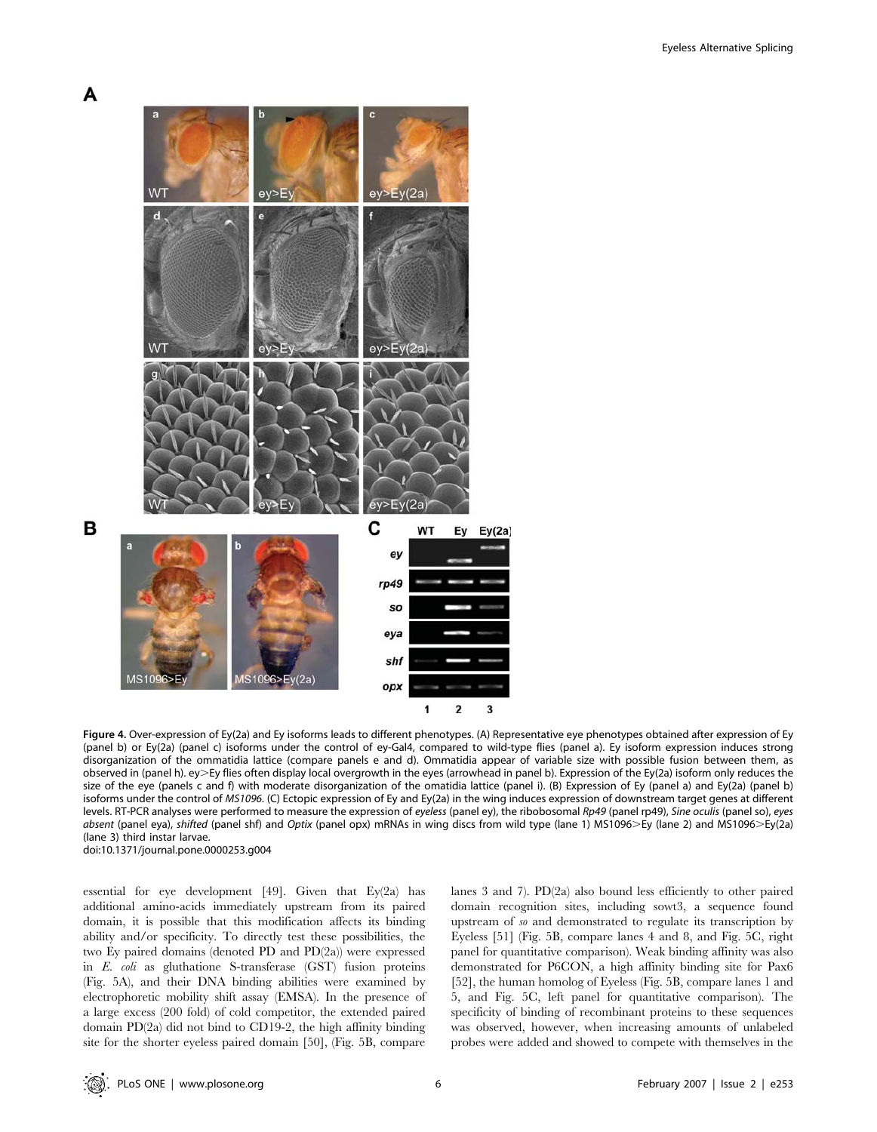



Figure 4. Over-expression of Ey(2a) and Ey isoforms leads to different phenotypes. (A) Representative eye phenotypes obtained after expression of Ey (panel b) or Ey(2a) (panel c) isoforms under the control of ey-Gal4, compared to wild-type flies (panel a). Ey isoform expression induces strong disorganization of the ommatidia lattice (compare panels e and d). Ommatidia appear of variable size with possible fusion between them, as observed in (panel h). ey>Ey flies often display local overgrowth in the eyes (arrowhead in panel b). Expression of the Ey(2a) isoform only reduces the size of the eye (panels c and f) with moderate disorganization of the omatidia lattice (panel i). (B) Expression of Ey (panel a) and Ey(2a) (panel b) isoforms under the control of MS1096. (C) Ectopic expression of Ey and Ey(2a) in the wing induces expression of downstream target genes at different levels. RT-PCR analyses were performed to measure the expression of eyeless (panel ey), the ribobosomal Rp49 (panel rp49), Sine oculis (panel so), eyes absent (panel eya), shifted (panel shf) and Optix (panel opx) mRNAs in wing discs from wild type (lane 1) MS1096>Ey (lane 2) and MS1096>Ey(2a) (lane 3) third instar larvae. doi:10.1371/journal.pone.0000253.g004

essential for eye development [49]. Given that Ey(2a) has additional amino-acids immediately upstream from its paired domain, it is possible that this modification affects its binding ability and/or specificity. To directly test these possibilities, the two Ey paired domains (denoted PD and PD(2a)) were expressed in E. coli as gluthatione S-transferase (GST) fusion proteins (Fig. 5A), and their DNA binding abilities were examined by electrophoretic mobility shift assay (EMSA). In the presence of a large excess (200 fold) of cold competitor, the extended paired domain PD(2a) did not bind to CD19-2, the high affinity binding site for the shorter eyeless paired domain [50], (Fig. 5B, compare

lanes 3 and 7). PD(2a) also bound less efficiently to other paired domain recognition sites, including sowt3, a sequence found upstream of so and demonstrated to regulate its transcription by Eyeless [51] (Fig. 5B, compare lanes 4 and 8, and Fig. 5C, right panel for quantitative comparison). Weak binding affinity was also demonstrated for P6CON, a high affinity binding site for Pax6 [52], the human homolog of Eyeless (Fig. 5B, compare lanes 1 and 5, and Fig. 5C, left panel for quantitative comparison). The specificity of binding of recombinant proteins to these sequences was observed, however, when increasing amounts of unlabeled probes were added and showed to compete with themselves in the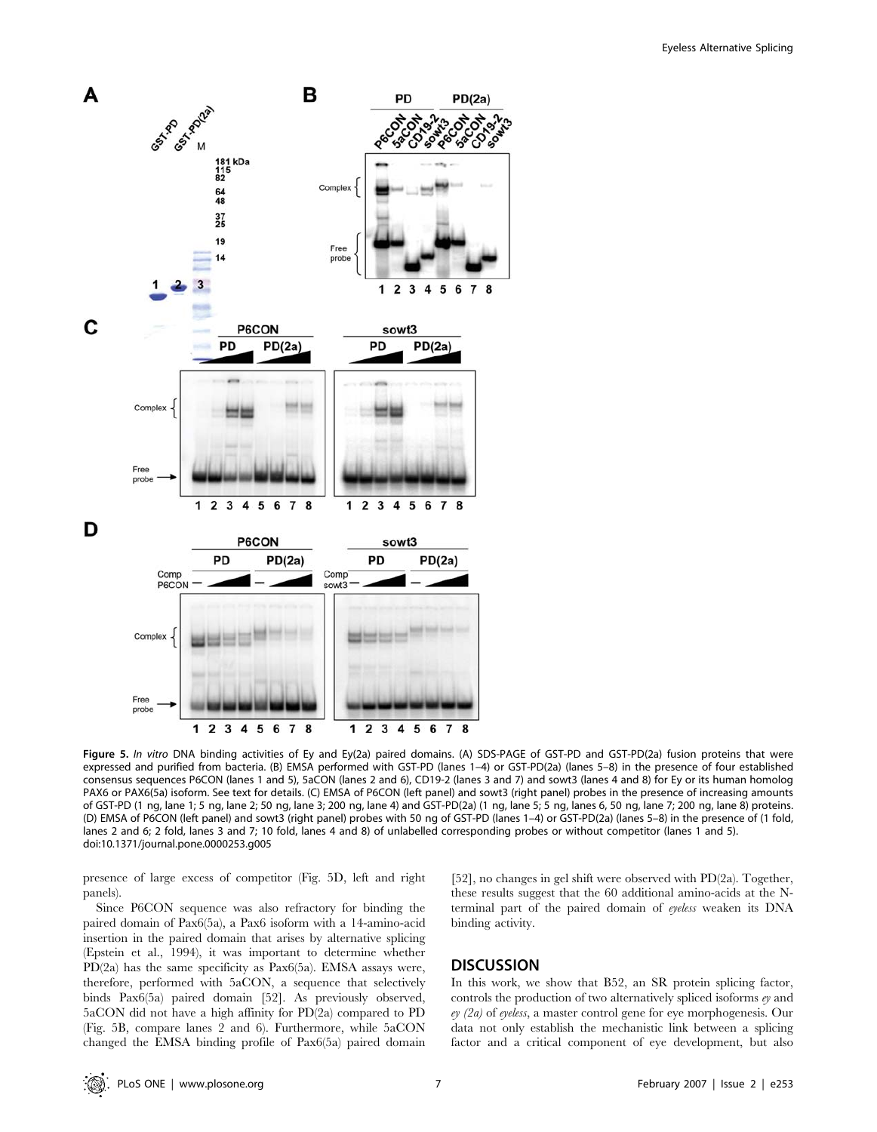

Figure 5. In vitro DNA binding activities of Ey and Ey(2a) paired domains. (A) SDS-PAGE of GST-PD and GST-PD(2a) fusion proteins that were expressed and purified from bacteria. (B) EMSA performed with GST-PD (lanes 1–4) or GST-PD(2a) (lanes 5–8) in the presence of four established consensus sequences P6CON (lanes 1 and 5), 5aCON (lanes 2 and 6), CD19-2 (lanes 3 and 7) and sowt3 (lanes 4 and 8) for Ey or its human homolog PAX6 or PAX6(5a) isoform. See text for details. (C) EMSA of P6CON (left panel) and sowt3 (right panel) probes in the presence of increasing amounts of GST-PD (1 ng, lane 1; 5 ng, lane 2; 50 ng, lane 3; 200 ng, lane 4) and GST-PD(2a) (1 ng, lane 5; 5 ng, lanes 6, 50 ng, lane 7; 200 ng, lane 8) proteins. (D) EMSA of P6CON (left panel) and sowt3 (right panel) probes with 50 ng of GST-PD (lanes 1–4) or GST-PD(2a) (lanes 5–8) in the presence of (1 fold, lanes 2 and 6; 2 fold, lanes 3 and 7; 10 fold, lanes 4 and 8) of unlabelled corresponding probes or without competitor (lanes 1 and 5). doi:10.1371/journal.pone.0000253.g005

presence of large excess of competitor (Fig. 5D, left and right panels).

Since P6CON sequence was also refractory for binding the paired domain of Pax6(5a), a Pax6 isoform with a 14-amino-acid insertion in the paired domain that arises by alternative splicing (Epstein et al., 1994), it was important to determine whether PD(2a) has the same specificity as Pax6(5a). EMSA assays were, therefore, performed with 5aCON, a sequence that selectively binds Pax6(5a) paired domain [52]. As previously observed, 5aCON did not have a high affinity for PD(2a) compared to PD (Fig. 5B, compare lanes 2 and 6). Furthermore, while 5aCON changed the EMSA binding profile of Pax6(5a) paired domain

[52], no changes in gel shift were observed with PD(2a). Together, these results suggest that the 60 additional amino-acids at the Nterminal part of the paired domain of eyeless weaken its DNA binding activity.

## **DISCUSSION**

In this work, we show that B52, an SR protein splicing factor, controls the production of two alternatively spliced isoforms ey and ey (2a) of eyeless, a master control gene for eye morphogenesis. Our data not only establish the mechanistic link between a splicing factor and a critical component of eye development, but also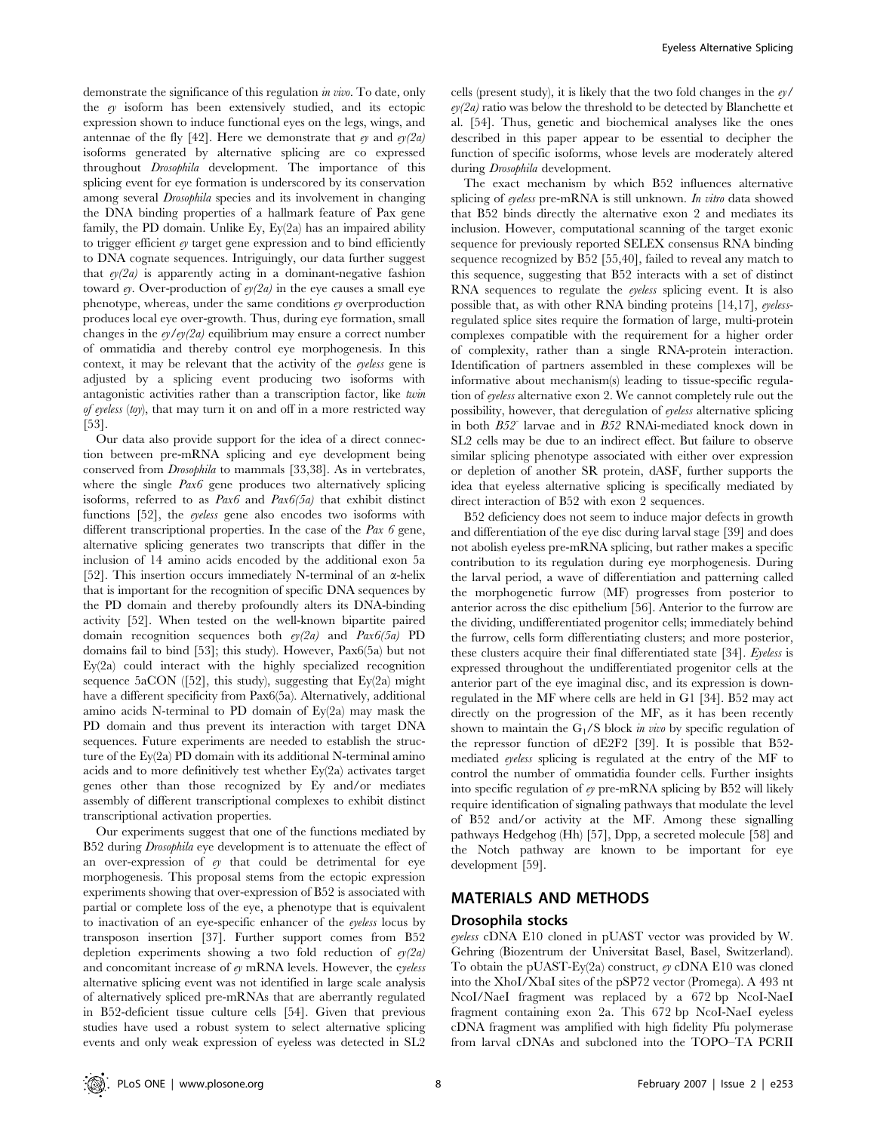demonstrate the significance of this regulation in vivo. To date, only the ey isoform has been extensively studied, and its ectopic expression shown to induce functional eyes on the legs, wings, and antennae of the fly [42]. Here we demonstrate that  $ey$  and  $ey(2a)$ isoforms generated by alternative splicing are co expressed throughout Drosophila development. The importance of this splicing event for eye formation is underscored by its conservation among several Drosophila species and its involvement in changing the DNA binding properties of a hallmark feature of Pax gene family, the PD domain. Unlike Ey, Ey(2a) has an impaired ability to trigger efficient  $e<sub>y</sub>$  target gene expression and to bind efficiently to DNA cognate sequences. Intriguingly, our data further suggest that  $e/(2a)$  is apparently acting in a dominant-negative fashion toward ey. Over-production of  $e/(2a)$  in the eye causes a small eye phenotype, whereas, under the same conditions ey overproduction produces local eye over-growth. Thus, during eye formation, small changes in the  $e\gamma / e\gamma/2a$  equilibrium may ensure a correct number of ommatidia and thereby control eye morphogenesis. In this context, it may be relevant that the activity of the eyeless gene is adjusted by a splicing event producing two isoforms with antagonistic activities rather than a transcription factor, like twin of eyeless (toy), that may turn it on and off in a more restricted way [53].

Our data also provide support for the idea of a direct connection between pre-mRNA splicing and eye development being conserved from Drosophila to mammals [33,38]. As in vertebrates, where the single *Pax6* gene produces two alternatively splicing isoforms, referred to as  $Pax6$  and  $Pax6(5a)$  that exhibit distinct functions [52], the eyeless gene also encodes two isoforms with different transcriptional properties. In the case of the Pax 6 gene, alternative splicing generates two transcripts that differ in the inclusion of 14 amino acids encoded by the additional exon 5a [52]. This insertion occurs immediately N-terminal of an  $\alpha$ -helix that is important for the recognition of specific DNA sequences by the PD domain and thereby profoundly alters its DNA-binding activity [52]. When tested on the well-known bipartite paired domain recognition sequences both  $e/(2a)$  and  $Pax6(5a)$  PD domains fail to bind [53]; this study). However, Pax6(5a) but not Ey(2a) could interact with the highly specialized recognition sequence  $5aCON$  ([52], this study), suggesting that Ey(2a) might have a different specificity from Pax6(5a). Alternatively, additional amino acids N-terminal to PD domain of Ey(2a) may mask the PD domain and thus prevent its interaction with target DNA sequences. Future experiments are needed to establish the structure of the Ey(2a) PD domain with its additional N-terminal amino acids and to more definitively test whether Ey(2a) activates target genes other than those recognized by Ey and/or mediates assembly of different transcriptional complexes to exhibit distinct transcriptional activation properties.

Our experiments suggest that one of the functions mediated by B52 during *Drosophila* eye development is to attenuate the effect of an over-expression of ey that could be detrimental for eye morphogenesis. This proposal stems from the ectopic expression experiments showing that over-expression of B52 is associated with partial or complete loss of the eye, a phenotype that is equivalent to inactivation of an eye-specific enhancer of the eyeless locus by transposon insertion [37]. Further support comes from B52 depletion experiments showing a two fold reduction of  $ey(2a)$ and concomitant increase of ey mRNA levels. However, the eyeless alternative splicing event was not identified in large scale analysis of alternatively spliced pre-mRNAs that are aberrantly regulated in B52-deficient tissue culture cells [54]. Given that previous studies have used a robust system to select alternative splicing events and only weak expression of eyeless was detected in SL2

cells (present study), it is likely that the two fold changes in the ey/  $ev(2a)$  ratio was below the threshold to be detected by Blanchette et al. [54]. Thus, genetic and biochemical analyses like the ones described in this paper appear to be essential to decipher the function of specific isoforms, whose levels are moderately altered during Drosophila development.

The exact mechanism by which B52 influences alternative splicing of eyeless pre-mRNA is still unknown. In vitro data showed that B52 binds directly the alternative exon 2 and mediates its inclusion. However, computational scanning of the target exonic sequence for previously reported SELEX consensus RNA binding sequence recognized by B52 [55,40], failed to reveal any match to this sequence, suggesting that B52 interacts with a set of distinct RNA sequences to regulate the eyeless splicing event. It is also possible that, as with other RNA binding proteins [14,17], eyelessregulated splice sites require the formation of large, multi-protein complexes compatible with the requirement for a higher order of complexity, rather than a single RNA-protein interaction. Identification of partners assembled in these complexes will be informative about mechanism(s) leading to tissue-specific regulation of eyeless alternative exon 2. We cannot completely rule out the possibility, however, that deregulation of eyeless alternative splicing in both B52- larvae and in B52 RNAi-mediated knock down in SL2 cells may be due to an indirect effect. But failure to observe similar splicing phenotype associated with either over expression or depletion of another SR protein, dASF, further supports the idea that eyeless alternative splicing is specifically mediated by direct interaction of B52 with exon 2 sequences.

B52 deficiency does not seem to induce major defects in growth and differentiation of the eye disc during larval stage [39] and does not abolish eyeless pre-mRNA splicing, but rather makes a specific contribution to its regulation during eye morphogenesis. During the larval period, a wave of differentiation and patterning called the morphogenetic furrow (MF) progresses from posterior to anterior across the disc epithelium [56]. Anterior to the furrow are the dividing, undifferentiated progenitor cells; immediately behind the furrow, cells form differentiating clusters; and more posterior, these clusters acquire their final differentiated state [34]. Eyeless is expressed throughout the undifferentiated progenitor cells at the anterior part of the eye imaginal disc, and its expression is downregulated in the MF where cells are held in G1 [34]. B52 may act directly on the progression of the MF, as it has been recently shown to maintain the  $G_1/S$  block *in vivo* by specific regulation of the repressor function of dE2F2 [39]. It is possible that B52 mediated eyeless splicing is regulated at the entry of the MF to control the number of ommatidia founder cells. Further insights into specific regulation of  $ey$  pre-mRNA splicing by B52 will likely require identification of signaling pathways that modulate the level of B52 and/or activity at the MF. Among these signalling pathways Hedgehog (Hh) [57], Dpp, a secreted molecule [58] and the Notch pathway are known to be important for eye development [59].

### MATERIALS AND METHODS

### Drosophila stocks

eyeless cDNA E10 cloned in pUAST vector was provided by W. Gehring (Biozentrum der Universitat Basel, Basel, Switzerland). To obtain the pUAST-Ey(2a) construct, ey cDNA E10 was cloned into the XhoI/XbaI sites of the pSP72 vector (Promega). A 493 nt NcoI/NaeI fragment was replaced by a 672 bp NcoI-NaeI fragment containing exon 2a. This 672 bp NcoI-NaeI eyeless cDNA fragment was amplified with high fidelity Pfu polymerase from larval cDNAs and subcloned into the TOPO–TA PCRII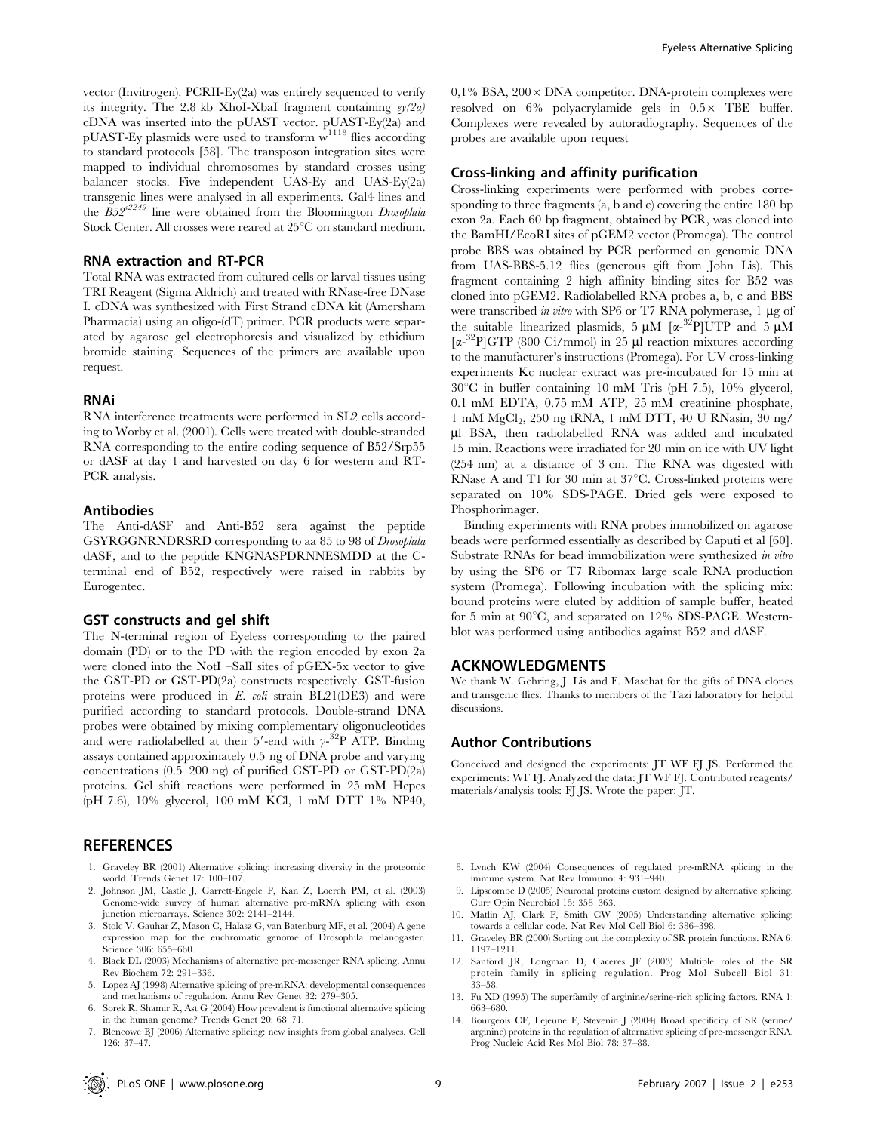vector (Invitrogen). PCRII-Ey(2a) was entirely sequenced to verify its integrity. The 2.8 kb XhoI-XbaI fragment containing  $e/(2a)$ cDNA was inserted into the pUAST vector. pUAST-Ey(2a) and  $pUAST-Ey$  plasmids were used to transform  $w^{1118}$  flies according to standard protocols [58]. The transposon integration sites were mapped to individual chromosomes by standard crosses using balancer stocks. Five independent UAS-Ey and UAS-Ey(2a) transgenic lines were analysed in all experiments. Gal4 lines and the  $B52^{s2249}$  line were obtained from the Bloomington Drosophila Stock Center. All crosses were reared at 25°C on standard medium.

#### RNA extraction and RT-PCR

Total RNA was extracted from cultured cells or larval tissues using TRI Reagent (Sigma Aldrich) and treated with RNase-free DNase I. cDNA was synthesized with First Strand cDNA kit (Amersham Pharmacia) using an oligo-(dT) primer. PCR products were separated by agarose gel electrophoresis and visualized by ethidium bromide staining. Sequences of the primers are available upon request.

#### RNAi

RNA interference treatments were performed in SL2 cells according to Worby et al. (2001). Cells were treated with double-stranded RNA corresponding to the entire coding sequence of B52/Srp55 or dASF at day 1 and harvested on day 6 for western and RT-PCR analysis.

#### Antibodies

The Anti-dASF and Anti-B52 sera against the peptide GSYRGGNRNDRSRD corresponding to aa 85 to 98 of Drosophila dASF, and to the peptide KNGNASPDRNNESMDD at the Cterminal end of B52, respectively were raised in rabbits by Eurogentec.

#### GST constructs and gel shift

The N-terminal region of Eyeless corresponding to the paired domain (PD) or to the PD with the region encoded by exon 2a were cloned into the NotI –SalI sites of pGEX-5x vector to give the GST-PD or GST-PD(2a) constructs respectively. GST-fusion proteins were produced in E. coli strain BL21(DE3) and were purified according to standard protocols. Double-strand DNA probes were obtained by mixing complementary oligonucleotides and were radiolabelled at their 5'-end with  $\gamma$ -<sup>32</sup>P ATP. Binding assays contained approximately 0.5 ng of DNA probe and varying concentrations (0.5–200 ng) of purified GST-PD or GST-PD(2a) proteins. Gel shift reactions were performed in 25 mM Hepes (pH 7.6), 10% glycerol, 100 mM KCl, 1 mM DTT 1% NP40,

### **REFERENCES**

- 1. Graveley BR (2001) Alternative splicing: increasing diversity in the proteomic world. Trends Genet 17: 100–107.
- 2. Johnson JM, Castle J, Garrett-Engele P, Kan Z, Loerch PM, et al. (2003) Genome-wide survey of human alternative pre-mRNA splicing with exon junction microarrays. Science 302: 2141–2144.
- 3. Stolc V, Gauhar Z, Mason C, Halasz G, van Batenburg MF, et al. (2004) A gene expression map for the euchromatic genome of Drosophila melanogaster. Science 306: 655–660.
- 4. Black DL (2003) Mechanisms of alternative pre-messenger RNA splicing. Annu Rev Biochem 72: 291–336.
- 5. Lopez AJ (1998) Alternative splicing of pre-mRNA: developmental consequences and mechanisms of regulation. Annu Rev Genet 32: 279–305.
- 6. Sorek R, Shamir R, Ast G (2004) How prevalent is functional alternative splicing in the human genome? Trends Genet 20: 68–71.
- 7. Blencowe BJ (2006) Alternative splicing: new insights from global analyses. Cell 126: 37–47.

 $0,1\%$  BSA,  $200 \times$  DNA competitor. DNA-protein complexes were resolved on  $6\%$  polyacrylamide gels in  $0.5\times$  TBE buffer. Complexes were revealed by autoradiography. Sequences of the probes are available upon request

### Cross-linking and affinity purification

Cross-linking experiments were performed with probes corresponding to three fragments (a, b and c) covering the entire 180 bp exon 2a. Each 60 bp fragment, obtained by PCR, was cloned into the BamHI/EcoRI sites of pGEM2 vector (Promega). The control probe BBS was obtained by PCR performed on genomic DNA from UAS-BBS-5.12 flies (generous gift from John Lis). This fragment containing 2 high affinity binding sites for B52 was cloned into pGEM2. Radiolabelled RNA probes a, b, c and BBS were transcribed in vitro with SP6 or T7 RNA polymerase,  $1 \mu$ g of the suitable linearized plasmids,  $5 \mu M$  [ $\alpha^{-32}$ P]UTP and  $5 \mu M$ [ $\alpha$ -<sup>32</sup>P]GTP (800 Ci/mmol) in 25 µl reaction mixtures according to the manufacturer's instructions (Promega). For UV cross-linking experiments Kc nuclear extract was pre-incubated for 15 min at  $30^{\circ}$ C in buffer containing 10 mM Tris (pH 7.5), 10% glycerol, 0.1 mM EDTA, 0.75 mM ATP, 25 mM creatinine phosphate, 1 mM MgCl2, 250 ng tRNA, 1 mM DTT, 40 U RNasin, 30 ng/ ml BSA, then radiolabelled RNA was added and incubated 15 min. Reactions were irradiated for 20 min on ice with UV light (254 nm) at a distance of 3 cm. The RNA was digested with RNase A and T1 for 30 min at  $37^{\circ}$ C. Cross-linked proteins were separated on 10% SDS-PAGE. Dried gels were exposed to Phosphorimager.

Binding experiments with RNA probes immobilized on agarose beads were performed essentially as described by Caputi et al [60]. Substrate RNAs for bead immobilization were synthesized in vitro by using the SP6 or T7 Ribomax large scale RNA production system (Promega). Following incubation with the splicing mix; bound proteins were eluted by addition of sample buffer, heated for 5 min at  $90^{\circ}$ C, and separated on 12% SDS-PAGE. Westernblot was performed using antibodies against B52 and dASF.

#### ACKNOWLEDGMENTS

We thank W. Gehring, J. Lis and F. Maschat for the gifts of DNA clones and transgenic flies. Thanks to members of the Tazi laboratory for helpful discussions.

#### Author Contributions

Conceived and designed the experiments: JT WF FJ JS. Performed the experiments: WF FJ. Analyzed the data: JT WF FJ. Contributed reagents/ materials/analysis tools: FJ JS. Wrote the paper: JT.

- 8. Lynch KW (2004) Consequences of regulated pre-mRNA splicing in the immune system. Nat Rev Immunol 4: 931–940.
- 9. Lipscombe D (2005) Neuronal proteins custom designed by alternative splicing. Curr Opin Neurobiol 15: 358–363.
- 10. Matlin AJ, Clark F, Smith CW (2005) Understanding alternative splicing: towards a cellular code. Nat Rev Mol Cell Biol 6: 386–398.
- 11. Graveley BR (2000) Sorting out the complexity of SR protein functions. RNA 6: 1197–1211.
- 12. Sanford JR, Longman D, Caceres JF (2003) Multiple roles of the SR protein family in splicing regulation. Prog Mol Subcell Biol 31: 33–58.
- 13. Fu XD (1995) The superfamily of arginine/serine-rich splicing factors. RNA 1: 663–680.
- 14. Bourgeois CF, Lejeune F, Stevenin J (2004) Broad specificity of SR (serine/ arginine) proteins in the regulation of alternative splicing of pre-messenger RNA. Prog Nucleic Acid Res Mol Biol 78: 37–88.